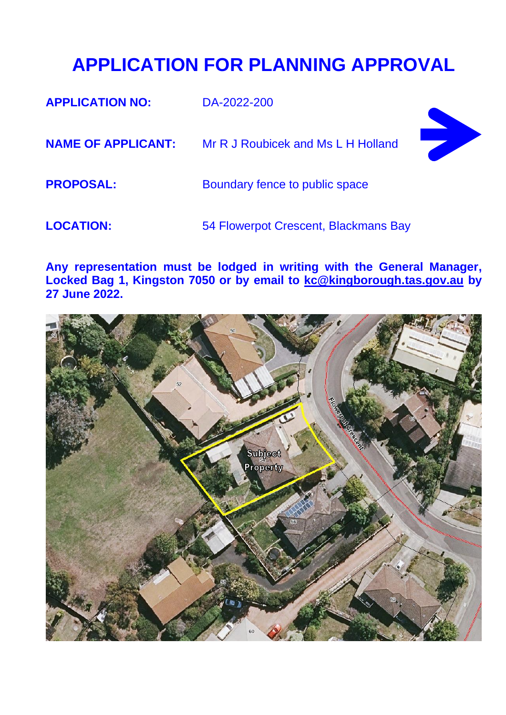## **APPLICATION FOR PLANNING APPROVAL**

| <b>APPLICATION NO:</b>    | DA-2022-200                          |  |
|---------------------------|--------------------------------------|--|
| <b>NAME OF APPLICANT:</b> | Mr R J Roubicek and Ms L H Holland   |  |
| <b>PROPOSAL:</b>          | Boundary fence to public space       |  |
| <b>LOCATION:</b>          | 54 Flowerpot Crescent, Blackmans Bay |  |

**Any representation must be lodged in writing with the General Manager, Locked Bag 1, Kingston 7050 or by email to [kc@kingborough.tas.gov.au](mailto:kc@kingborough.tas.gov.au) by 27 June 2022.**

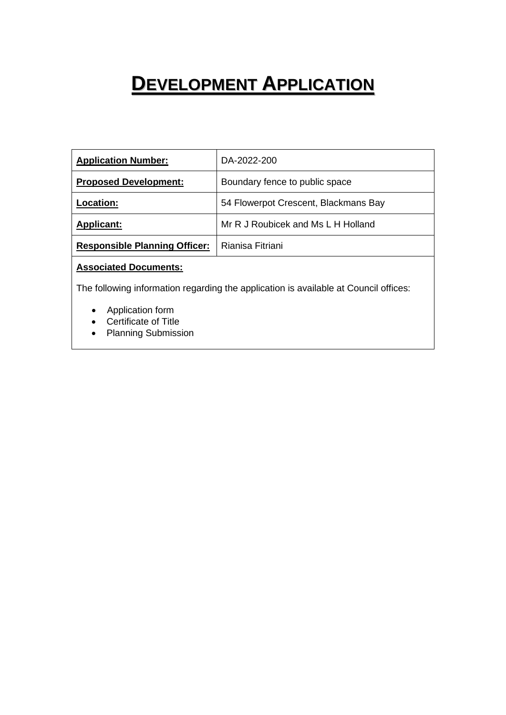# **DEVELOPMENT APPLICATION**

| <b>Application Number:</b>           | DA-2022-200                          |
|--------------------------------------|--------------------------------------|
| <b>Proposed Development:</b>         | Boundary fence to public space       |
| .ocation:                            | 54 Flowerpot Crescent, Blackmans Bay |
| <b>Applicant:</b>                    | Mr R J Roubicek and Ms L H Holland   |
| <b>Responsible Planning Officer:</b> | Rianisa Fitriani                     |

#### **Associated Documents:**

The following information regarding the application is available at Council offices:

- Application form
- Certificate of Title
- Planning Submission